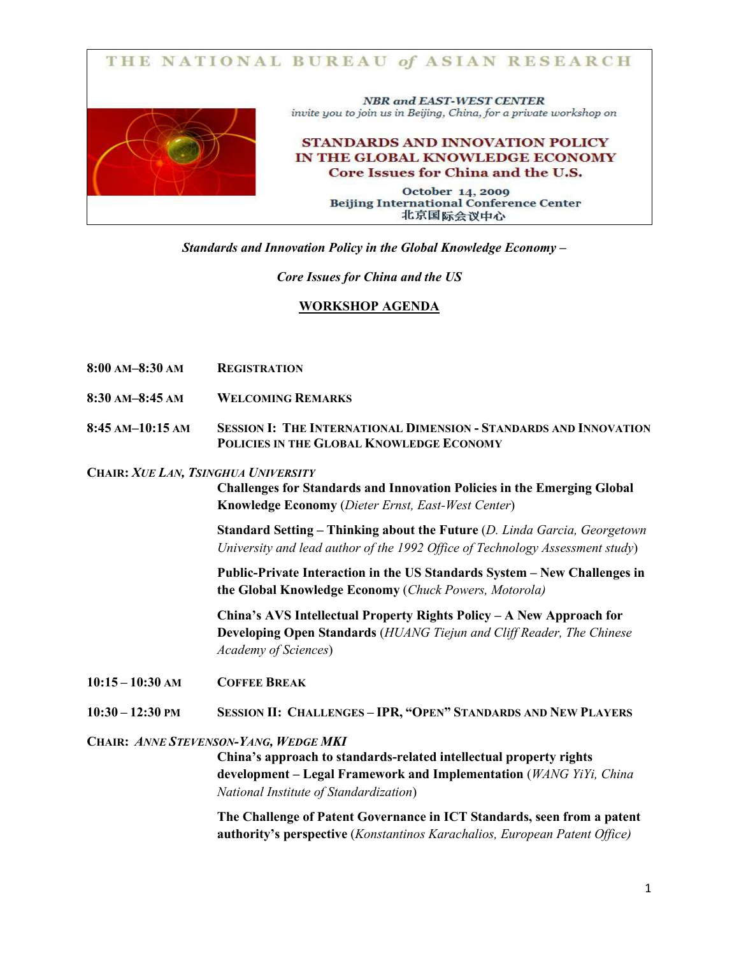

Standards and Innovation Policy in the Global Knowledge Economy –

## Core Issues for China and the US

## WORKSHOP AGENDA

- 8:00 AM–8:30 AM REGISTRATION
- 8:30 AM–8:45 AM WELCOMING REMARKS
- 8:45 AM–10:15 AM SESSION I: THE INTERNATIONAL DIMENSION STANDARDS AND INNOVATION POLICIES IN THE GLOBAL KNOWLEDGE ECONOMY

### CHAIR: XUE LAN, TSINGHUA UNIVERSITY

Challenges for Standards and Innovation Policies in the Emerging Global Knowledge Economy (Dieter Ernst, East-West Center)

Standard Setting – Thinking about the Future (D. Linda Garcia, Georgetown University and lead author of the 1992 Office of Technology Assessment study)

Public-Private Interaction in the US Standards System – New Challenges in the Global Knowledge Economy (Chuck Powers, Motorola)

China's AVS Intellectual Property Rights Policy – A New Approach for Developing Open Standards (HUANG Tiejun and Cliff Reader, The Chinese Academy of Sciences)

10:15 – 10:30 AM COFFEE BREAK

10:30 – 12:30 PM SESSION II: CHALLENGES – IPR, "OPEN" STANDARDS AND NEW PLAYERS

### CHAIR: ANNE STEVENSON-YANG, WEDGE MKI

China's approach to standards-related intellectual property rights development – Legal Framework and Implementation (WANG YiYi, China National Institute of Standardization)

The Challenge of Patent Governance in ICT Standards, seen from a patent authority's perspective (Konstantinos Karachalios, European Patent Office)